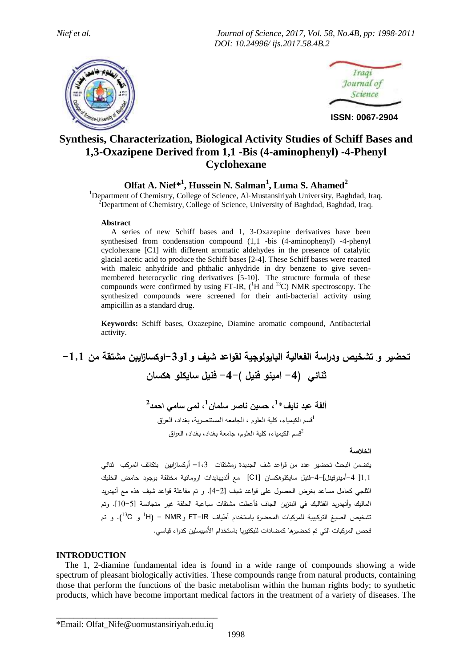*Nief et al. Journal of Science, 2017, Vol. 58, No.4B, pp: 1998-2011 DOI: 10.24996/ ijs.2017.58.4B.2*





**ISSN: 0067-2904**

# **Synthesis, Characterization, Biological Activity Studies of Schiff Bases and 1,3-Oxazipene Derived from 1,1 -Bis (4-aminophenyl) -4-Phenyl Cyclohexane**

# **Olfat A. Nief\* 1 , Hussein N. Salman<sup>1</sup> , Luma S. Ahamed<sup>2</sup>**

<sup>1</sup>Department of Chemistry, College of Science, Al-Mustansiriyah University, Baghdad, Iraq.  $2^2$ Department of Chemistry, College of Science, University of Baghdad, Baghdad, Iraq.

#### **Abstract**

 A series of new Schiff bases and 1, 3-Oxazepine derivatives have been synthesised from condensation compound (1,1 -bis (4-aminophenyl) -4-phenyl cyclohexane [C1] with different aromatic aldehydes in the presence of catalytic glacial acetic acid to produce the Schiff bases [2-4]. These Schiff bases were reacted with maleic anhydride and phthalic anhydride in dry benzene to give sevenmembered heterocyclic ring derivatives [5-10]. The structure formula of these compounds were confirmed by using FT-IR,  $(^1H$  and <sup>13</sup>C) NMR spectroscopy. The synthesized compounds were screened for their anti-bacterial activity using ampicillin as a standard drug.

**Keywords:** Schiff bases, Oxazepine, Diamine aromatic compound, Antibacterial activity.

# **تحضير و تشخيص و دراسة الفعالية البايولوجية لقواعد شيف و1و-3اوكسازايبن مشتقة من -1,1 ثنائي )-4 امينو فنيل (-4- فنيل سايكلو هكسان**

**ألفة عبد نايف\* 1 ، حسين ناصر سلمان 1 ، لمى سامي احمد 2** 1 قسم الكيمياء، كلية العلوم ، الجامعه المستنصرية، بغداد، العراق 2 قسم الكيمياء، كلية العلوم، جامعة بغداد، بغداد، العراق

**الخالصة**

يتضمن البحث تحضير عدد من قواعد شف الجديدة ومشتقات 1،1– أوكسازابين بتكاثف المركب ثنائي 1,1[ -4أمينوفينل]-4-فنيل سايكلوهكسان [1C [مع ألديهايدات اروماتية مختلفة بوجود حامض الخليك الثلجي كعامل مساعد بغرض الحصول على قواعد شيف ]4-2[. و تم مفاعلة قواعد شيف هذه مع أنهدريد الماليك وأنهدريد الفثاليك في البنزين الجاف فأعطت مشتقات سباعية الحلقة غير متجانسة ]11-5]. وتم تشخيص الصيغ التركيبية للمركبات المحضرة باستخدام أطياف FT–IR و H) – NMR- (<sup>13</sup>C). و تم فحص المركبات التي تم تحضيرها كمضادات للبكتيريا باستخدام األمبيسلين كدواء قياسي.

#### **INTRODUCTION**

 The 1, 2-diamine fundamental idea is found in a wide range of compounds showing a wide spectrum of pleasant biologically activities. These compounds range from natural products, containing those that perform the functions of the basic metabolism within the human rights body; to synthetic products, which have become important medical factors in the treatment of a variety of diseases. The

\_\_\_\_\_\_\_\_\_\_\_\_\_\_\_\_\_\_\_\_\_\_\_\_\_\_\_\_\_\_\_\_\_\_\_\_\_ \*Email: Olfat\_Nife@uomustansiriyah.edu.iq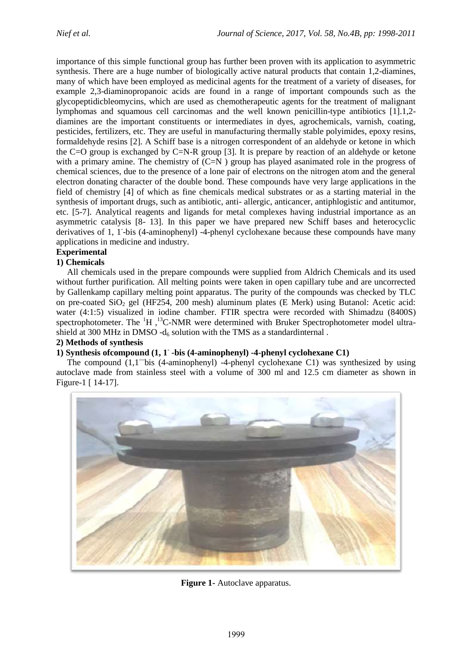importance of this simple functional group has further been proven with its application to asymmetric synthesis. There are a huge number of biologically active natural products that contain 1,2-diamines, many of which have been employed as medicinal agents for the treatment of a variety of diseases, for example 2,3-diaminopropanoic acids are found in a range of important compounds such as the glycopeptidicbleomycins, which are used as chemotherapeutic agents for the treatment of malignant lymphomas and squamous cell carcinomas and the well known penicillin-type antibiotics [1].1,2 diamines are the important constituents or intermediates in dyes, agrochemicals, varnish, coating, pesticides, fertilizers, etc. They are useful in manufacturing thermally stable polyimides, epoxy resins, formaldehyde resins [2]. A Schiff base is a nitrogen correspondent of an aldehyde or ketone in which the C=O group is exchanged by C=N-R group [3]. It is prepare by reaction of an aldehyde or ketone with a primary amine. The chemistry of  $(C=N)$  group has played asanimated role in the progress of chemical sciences, due to the presence of a lone pair of electrons on the nitrogen atom and the general electron donating character of the double bond. These compounds have very large applications in the field of chemistry [4] of which as fine chemicals medical substrates or as a starting material in the synthesis of important drugs, such as antibiotic, anti- allergic, anticancer, antiphlogisti*c* and antitumor, etc. [5-7]. Analytical reagents and ligands for metal complexes having industrial importance as an asymmetric catalysis [8- 13]. In this paper we have prepared new Schiff bases and heterocyclic derivatives of 1, 1-bis (4-aminophenyl) -4-phenyl cyclohexane because these compounds have many applications in medicine and industry.

# **Experimental**

### **1) Chemicals**

 All chemicals used in the prepare compounds were supplied from Aldrich Chemicals and its used without further purification. All melting points were taken in open capillary tube and are uncorrected by Gallenkamp capillary melting point apparatus. The purity of the compounds was checked by TLC on pre-coated  $SiO<sub>2</sub>$  gel (HF254, 200 mesh) aluminum plates (E Merk) using Butanol: Acetic acid: water (4:1:5) visualized in iodine chamber. FTIR spectra were recorded with Shimadzu (8400S) spectrophotometer. The  ${}^{1}H$ ,  ${}^{13}C$ -NMR were determined with Bruker Spectrophotometer model ultrashield at 300 MHz in DMSO -d $_6$  solution with the TMS as a standardinternal.

#### **2) Methods of synthesis**

# **1) Synthesis ofcompound (1, 1- -bis (4-aminophenyl) -4-phenyl cyclohexane C1)**

 The compound (1,1**—**bis (4-aminophenyl) -4-phenyl cyclohexane C1) was synthesized by using autoclave made from stainless steel with a volume of 300 ml and 12.5 cm diameter as shown in Figure-1 [ 14-17].



**Figure 1-** Autoclave apparatus.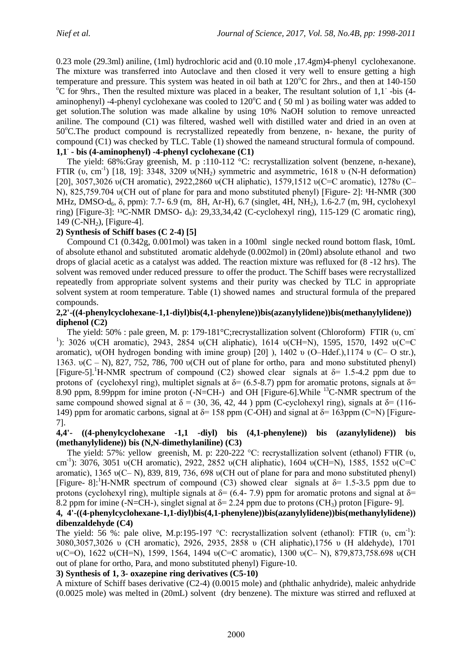0.23 mole (29.3ml) aniline, (1ml) hydrochloric acid and (0.10 mole ,17.4gm)4-phenyl cyclohexanone. The mixture was transferred into Autoclave and then closed it very well to ensure getting a high temperature and pressure. This system was heated in oil bath at  $120^{\circ}$ C for 2hrs., and then at  $140-150$ <sup>o</sup>C for 9hrs., Then the resulted mixture was placed in a beaker, The resultant solution of 1,1 -bis (4aminophenyl) -4-phenyl cyclohexane was cooled to  $120^{\circ}$ C and (50 ml) as boiling water was added to get solution.The solution was made alkaline by using 10% NaOH solution to remove unreacted aniline. The compound (C1) was filtered, washed well with distilled water and dried in an oven at 50<sup>o</sup>C.The product compound is recrystallized repeatedly from benzene, n- hexane, the purity of compound (C1) was checked by TLC. Table (1) showed the nameand structural formula of compound. **1,1- - bis (4-aminophenyl) -4-phenyl cyclohexane (C1)**

The yield: 68%:Gray greenish, M. p :110-112 °C: recrystallization solvent (benzene, n-hexane), FTIR  $(v, cm^{-1})$  [18, 19]: 3348, 3209  $v(NH<sub>2</sub>)$  symmetric and asymmetric, 1618 v (N-H deformation) [20], 3057,3026 υ(CH aromatic), 2922,2860 υ(CH aliphatic), 1579,1512 υ(C=C aromatic), 1278υ (C– N), 825,759,704 υ(CH out of plane for para and mono substituted phenyl) [Figure- 2]: <sup>1</sup>H-NMR (300 MHz, DMSO-d<sub>6</sub>, δ, ppm): 7.7- 6.9 (m, 8H, Ar-H), 6.7 (singlet, 4H, NH<sub>2</sub>), 1.6-2.7 (m, 9H, cyclohexyl ring) [Figure-3]: <sup>13</sup>C-NMR DMSO- d<sub>6</sub>): 29,33,34,42 (C-cyclohexyl ring), 115-129 (C aromatic ring),  $149$  (C-NH<sub>2</sub>), [Figure-4].

# **2) Synthesis of Schiff bases (C 2-4) [5]**

 Compound C1 (0.342g, 0.001mol) was taken in a 100ml single necked round bottom flask, 10mL of absolute ethanol and substituted aromatic aldehyde (0.002mol) in (20ml) absolute ethanol and two drops of glacial acetic as a catalyst was added. The reaction mixture was refluxed for (8 -12 hrs). The solvent was removed under reduced pressure to offer the product. The Schiff bases were recrystallized repeatedly from appropriate solvent systems and their purity was checked by TLC in appropriate solvent system at room temperature. Table (1) showed names and structural formula of the prepared compounds.

### **2,2'-((4-phenylcyclohexane-1,1-diyl)bis(4,1-phenylene))bis(azanylylidene))bis(methanylylidene)) diphenol (C2)**

 The yield: 50% : pale green, M. p: 179-181°C;recrystallization solvent (Chloroform) FTIR (υ, cm-<sup>1</sup>): 3026 υ(CH aromatic), 2943, 2854 υ(CH aliphatic), 1614 υ(CH=N), 1595, 1570, 1492 υ(C=C aromatic), υ(OH hydrogen bonding with imine group) [20] ), 1402 υ (O–Hdef.),1174 υ (C– O str.), 1363. υ(C – N), 827, 752, 786, 700 υ(CH out of plane for ortho, para and mono substituted phenyl) [Figure-5].<sup>1</sup>H-NMR spectrum of compound (C2) showed clear signals at  $\delta$ = 1.5-4.2 ppm due to protons of (cyclohexyl ring), multiplet signals at  $\delta$ = (6.5-8.7) ppm for aromatic protons, signals at  $\delta$ = 8.90 ppm, 8.99ppm for imine proton (-N=CH-) and OH [Figure-6].While <sup>13</sup>C-NMR spectrum of the same compound showed signal at  $\delta = (30, 36, 42, 44)$  ppm (C-cyclohexyl ring), signals at  $\delta = (116$ -149) ppm for aromatic carbons, signal at  $\delta$ = 158 ppm (C-OH) and signal at  $\delta$ = 163ppm (C=N) [Figure-7].

### **4,4'- ((4-phenylcyclohexane -1,1 -diyl) bis (4,1-phenylene)) bis (azanylylidene)) bis (methanylylidene)) bis (N,N-dimethylaniline) (C3)**

 The yield: 57%: yellow greenish, M. p: 220-222 °C: recrystallization solvent (ethanol) FTIR (υ, cm-1 ): 3076, 3051 υ(CH aromatic), 2922, 2852 υ(CH aliphatic), 1604 υ(CH=N), 1585, 1552 υ(C=C aromatic), 1365 υ(C– N), 839, 819, 736, 698 υ(CH out of plane for para and mono substituted phenyl) [Figure- 8]:<sup>1</sup>H-NMR spectrum of compound (C3) showed clear signals at  $\delta = 1.5$ -3.5 ppm due to protons (cyclohexyl ring), multiple signals at  $\delta$ = (6.4-7.9) ppm for aromatic protons and signal at  $\delta$ = 8.2 ppm for imine (-N=CH-), singlet signal at  $\delta$ = 2.24 ppm due to protons (CH<sub>3</sub>) proton [Figure- 9].

### **4, 4'-((4-phenylcyclohexane-1,1-diyl)bis(4,1-phenylene))bis(azanylylidene))bis(methanylylidene)) dibenzaldehyde (C4)**

The yield: 56 %: pale olive, M.p:195-197 °C: recrystallization solvent (ethanol): FTIR (υ, cm<sup>-1</sup>): 3080,3057,3026 υ (CH aromatic), 2926, 2935, 2858 υ (CH aliphatic),1756 υ (H aldehyde), 1701 υ(C=O), 1622 υ(CH=N), 1599, 1564, 1494 υ(C=C aromatic), 1300 υ(C– N), 879,873,758.698 υ(CH out of plane for ortho, Para, and mono substituted phenyl) Figure-10.

# **3) Synthesis of 1, 3- oxazepine ring derivatives (C5-10)**

A mixture of Schiff bases derivative (C2-4) (0.0015 mole) and (phthalic anhydride), maleic anhydride (0.0025 mole) was melted in (20mL) solvent (dry benzene). The mixture was stirred and refluxed at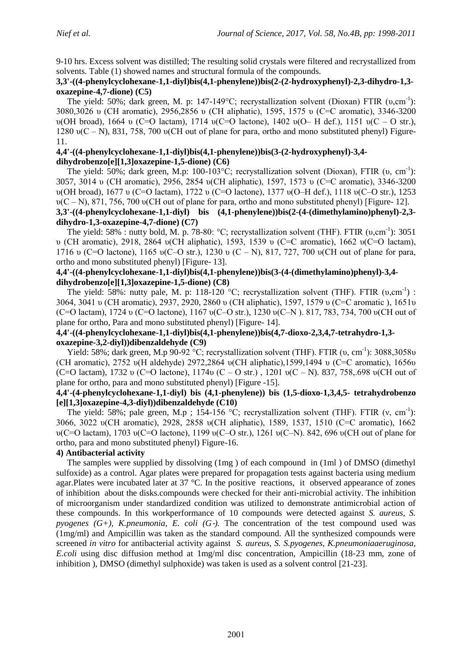9-10 hrs. Excess solvent was distilled; The resulting solid crystals were filtered and recrystallized from solvents. Table (1) showed names and structural formula of the compounds.

## **3,3'-((4-phenylcyclohexane-1,1-diyl)bis(4,1-phenylene))bis(2-(2-hydroxyphenyl)-2,3-dihydro-1,3 oxazepine-4,7-dione) (C5)**

The yield: 50%; dark green, M. p: 147-149°C; recrystallization solvent (Dioxan) FTIR (υ,cm<sup>-1</sup>): 3080,3026 υ (CH aromatic), 2956,2856 υ (CH aliphatic), 1595, 1575 υ (C=C aromatic), 3346-3200 υ(OH broad), 1664 υ (C=O lactam), 1714 υ(C=O lactone), 1402 υ(O– H def.), 1151 υ(C – O str.), 1280 υ(C – N), 831, 758, 700 υ(CH out of plane for para, ortho and mono substituted phenyl) Figure-11.

### **4,4'-((4-phenylcyclohexane-1,1-diyl)bis(4,1-phenylene))bis(3-(2-hydroxyphenyl)-3,4 dihydrobenzo[e][1,3]oxazepine-1,5-dione) (C6)**

The yield: 50%; dark green, M.p: 100-103°C; recrystallization solvent (Dioxan), FTIR (υ, cm<sup>-1</sup>): 3057, 3014 υ (CH aromatic), 2956, 2854 υ(CH aliphatic), 1597, 1573 υ (C=C aromatic), 3346-3200 υ(OH broad), 1677 υ (C=O lactam), 1722 υ (C=O lactone), 1377 υ(O–H def.), 1118 υ(C–O str.), 1253 υ(C – N), 871, 756, 700 υ(CH out of plane for para, ortho and mono substituted phenyl) [Figure- 12]. **3,3'-((4-phenylcyclohexane-1,1-diyl) bis (4,1-phenylene))bis(2-(4-(dimethylamino)phenyl)-2,3-**

# **dihydro-1,3-oxazepine-4,7-dione) (C7)**

The yield: 58% : nutty bold, M. p. 78-80:  $\degree$ C; recrystallization solvent (THF). FTIR (υ,cm<sup>-1</sup>): 3051 υ (CH aromatic), 2918, 2864 υ(CH aliphatic), 1593, 1539 υ (C=C aromatic), 1662 υ(C=O lactam), 1716 υ (C=O lactone), 1165 υ(C–O str.), 1230 υ (C – N), 817, 727, 700 υ(CH out of plane for para, ortho and mono substituted phenyl) [Figure- 13].

## **4,4'-((4-phenylcyclohexane-1,1-diyl)bis(4,1-phenylene))bis(3-(4-(dimethylamino)phenyl)-3,4 dihydrobenzo[e][1,3]oxazepine-1,5-dione) (C8)**

The yield: 58%: nutty pale, M. p: 118-120 °C; recrystallization solvent (THF). FTIR (υ,cm<sup>-1</sup>): 3064, 3041 υ (CH aromatic), 2937, 2920, 2860 υ (CH aliphatic), 1597, 1579 υ (C=C aromatic ), 1651υ (C=O lactam), 1724 υ (C=O lactone), 1167 υ(C–O str.), 1230 υ(C–N ). 817, 783, 734, 700 υ(CH out of plane for ortho, Para and mono substituted phenyl) [Figure- 14].

### **4,4'-((4-phenylcyclohexane-1,1-diyl)bis(4,1-phenylene))bis(4,7-dioxo-2,3,4,7-tetrahydro-1,3 oxazepine-3,2-diyl))dibenzaldehyde (C9)**

Yield: 58%; dark green, M.p 90-92 °C; recrystallization solvent (THF). FTIR  $(v, cm^{-1})$ : 3088,3058v (CH aromatic), 2752 υ(H aldehyde) 2972,2864 υ(CH aliphatic),1599,1494 υ (C=C aromatic), 1656υ (C=O lactam), 1732 υ (C=O lactone), 1174υ (C – O str.), 1201 υ(C – N), 837, 758, 698 υ(CH out of plane for ortho, para and mono substituted phenyl) [Figure -15].

### **4,4'-(4-phenylcyclohexane-1,1-diyl) bis (4,1-phenylene)) bis (1,5-dioxo-1,3,4,5- tetrahydrobenzo [e][1,3]oxazepine-4,3-diyl))dibenzaldehyde (C10)**

The yield: 58%; pale green, M.p ; 154-156 °C; recrystallization solvent (THF). FTIR  $(v, cm^{-1})$ : 3066, 3022 υ(CH aromatic), 2928, 2858 υ(CH aliphatic), 1589, 1537, 1510 (C=C aromatic), 1662 υ(C=O lactam), 1703 υ(C=O lactone), 1199 υ(C–O str.), 1261 υ(C–N). 842, 696 υ(CH out of plane for ortho, para and mono substituted phenyl) Figure-16.

# **4) Antibacterial activity**

 The samples were supplied by dissolving (1mg ) of each compound in (1ml ) of DMSO (dimethyl sulfoxide) as a control. Agar plates were prepared for propagation tests against bacteria using medium agar.Plates were incubated later at 37 °C. In the positive reactions, it observed appearance of zones of inhibition about the disks.compounds were checked for their anti‐microbial activity. The inhibition of microorganism under standardized condition was utilized to demonstrate antimicrobial action of these compounds. In this workperformance of 10 compounds were detected against *S. aureus, S. pyogenes (G+), K.pneumonia, E. coli (G-).* The concentration of the test compound used was (1mg/ml) and Ampicillin was taken as the standard compound. All the synthesized compounds were screened *in vitro* for antibacterial activity against *S. aureus, S. S.pyogenes, K.pneumoniaaeruginosa, E.coli* using disc diffusion method at 1mg/ml disc concentration, Ampicillin (18‐23 mm, zone of inhibition ), DMSO (dimethyl sulphoxide) was taken is used as a solvent control [21-23].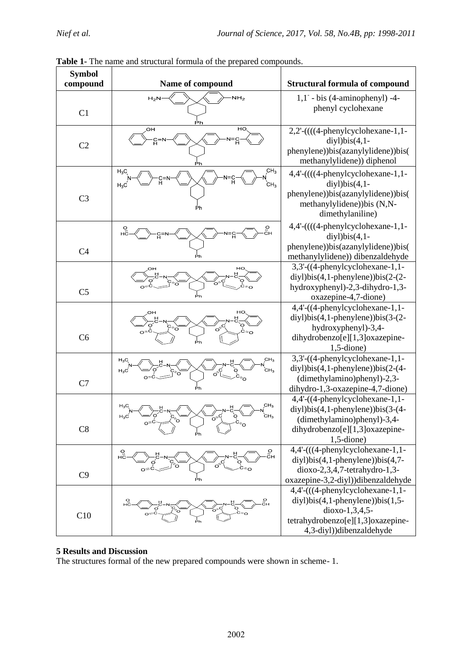| <b>Symbol</b><br>compound | Name of compound                                               | <b>Structural formula of compound</b>                                                                                                                              |
|---------------------------|----------------------------------------------------------------|--------------------------------------------------------------------------------------------------------------------------------------------------------------------|
| C1                        | NH <sub>2</sub><br>$H_2$<br>Ρh                                 | $1,1$ <sup>-</sup> - bis (4-aminophenyl) -4-<br>phenyl cyclohexane                                                                                                 |
| C <sub>2</sub>            | HO.<br>OH<br>ပြ<br><u>ទ</u><br>Ρh                              | 2,2'-((((4-phenylcyclohexane-1,1-<br>$diyl)$ bis $(4,1$ -<br>phenylene))bis(azanylylidene))bis(<br>methanylylidene)) diphenol                                      |
| C <sub>3</sub>            | CH <sub>3</sub><br>$H_3C_3$<br>CH <sub>3</sub><br>$H_3C$<br>Ph | 4,4'-((((4-phenylcyclohexane-1,1-<br>$diyl)$ bis $(4,1$ -<br>phenylene))bis(azanylylidene))bis(<br>methanylylidene)) bis (N,N-<br>dimethylaniline)                 |
| C <sub>4</sub>            | о<br>cн<br>Ρh                                                  | $4,4'$ - $(((4$ -phenylcyclohexane-1,1-<br>$diyl)bis(4,1-$<br>phenylene))bis(azanylylidene))bis(<br>methanylylidene)) dibenzaldehyde                               |
| C <sub>5</sub>            | HO.<br>OH<br>Рh                                                | 3,3'-((4-phenylcyclohexane-1,1-<br>$div1$ ) $bis(4,1$ -phenylene)) $bis(2-(2-$<br>hydroxyphenyl)-2,3-dihydro-1,3-<br>oxazepine-4,7-dione)                          |
| C6                        | нc<br>$\sigma^c$<br>⊂≈໐                                        | 4,4'-((4-phenylcyclohexane-1,1-<br>$diyl)bis(4,1-phenylene))bis(3-(2-$<br>hydroxyphenyl)-3,4-<br>dihydrobenzo[e][1,3]oxazepine-<br>$1, 5$ -dione)                  |
| C7                        | CH <sub>3</sub><br>$H_3C$<br>$H_3C$<br>сн <sub>з</sub><br>Ρh   | 3,3'-((4-phenylcyclohexane-1,1-<br>$diyl)bis(4,1-phenylene))bis(2-(4-$<br>(dimethylamino)phenyl)-2,3-<br>dihydro-1,3-oxazepine-4,7-dione)                          |
| C8                        | CH <sub>3</sub><br>$H_3C$<br>$CH_{3}$<br>$H_3C$<br>Ő<br>°٥     | 4,4'-((4-phenylcyclohexane-1,1-<br>$diyl)bis(4,1-phenylene))bis(3-(4-$<br>(dimethylamino)phenyl)-3,4-<br>dihydrobenzo[e][1,3]oxazepine-<br>$1, 5$ -dione)          |
| C9                        | о<br>Сн<br>$^{O}_{\rm 2H}$<br>Рh                               | 4,4'-(((4-phenylcyclohexane-1,1-<br>$diyl)bis(4,1-phenylene))bis(4,7-$<br>$dioxo-2,3,4,7-tetrahydro-1,3-$<br>oxazepine-3,2-diyl))dibenzaldehyde                    |
| C10                       |                                                                | 4,4'-(((4-phenylcyclohexane-1,1-<br>$diyl)bis(4,1$ -phenylene) $bis(1,5-$<br>$dioxo-1, 3, 4, 5$ -<br>tetrahydrobenzo[e][1,3]oxazepine-<br>4,3-diyl))dibenzaldehyde |

| Table 1- The name and structural formula of the prepared compounds. |  |  |  |
|---------------------------------------------------------------------|--|--|--|
|                                                                     |  |  |  |

#### **5 Results and Discussion**

The structures formal of the new prepared compounds were shown in scheme- 1.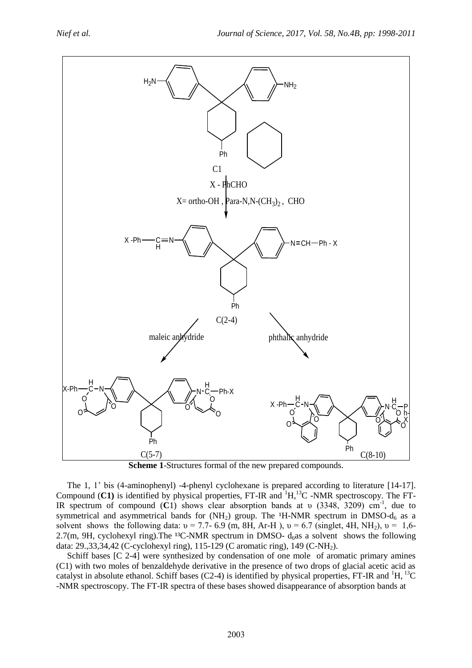

**Scheme 1**-Structures formal of the new prepared compounds.

 The 1, 1' bis (4-aminophenyl) -4-phenyl cyclohexane is prepared according to literature [14-17]. Compound  $(C1)$  is identified by physical properties, FT-IR and  $H$ <sup>1</sup>H,<sup>13</sup>C -NMR spectroscopy. The FT-IR spectrum of compound (**C**1) shows clear absorption bands at υ (3348, 3209) cm-1 , due to symmetrical and asymmetrical bands for  $(NH<sub>2</sub>)$  group. The <sup>1</sup>H-NMR spectrum in DMSO- $d<sub>6</sub>$  as a solvent shows the following data:  $v = 7.7-6.9$  (m, 8H, Ar-H),  $v = 6.7$  (singlet, 4H, NH<sub>2</sub>),  $v = 1.6-$ 2.7(m, 9H, cyclohexyl ring).The <sup>13</sup>C-NMR spectrum in DMSO-  $d<sub>6</sub>as a solvent shows the following$ data: 29.,33,34,42 (C-cyclohexyl ring), 115-129 (C aromatic ring), 149 (C-NH<sub>2</sub>).

 Schiff bases [C 2-4] were synthesized by condensation of one mole of aromatic primary amines (C1) with two moles of benzaldehyde derivative in the presence of two drops of glacial acetic acid as catalyst in absolute ethanol. Schiff bases (C2-4) is identified by physical properties, FT-IR and  ${}^{1}H$ ,  ${}^{13}C$ -NMR spectroscopy. The FT-IR spectra of these bases showed disappearance of absorption bands at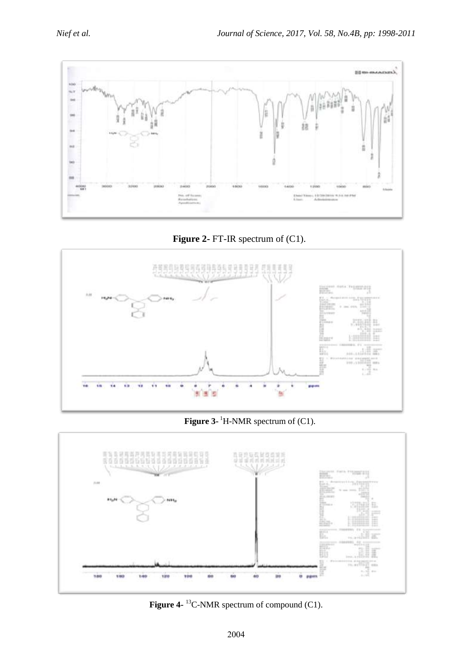

**Figure 2-** FT-IR spectrum of (C1).



**Figure 3-** <sup>1</sup>H-NMR spectrum of (C1).



**Figure 4-** <sup>13</sup>C-NMR spectrum of compound (C1).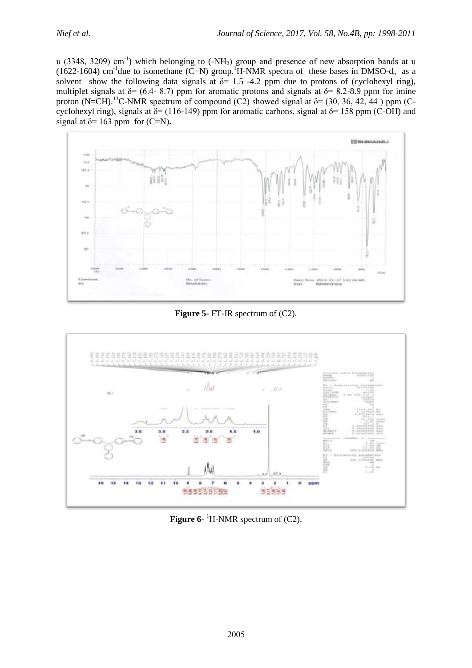υ (3348, 3209) cm<sup>-1</sup>) which belonging to (-NH<sub>2</sub>) group and presence of new absorption bands at υ (1622-1604) cm<sup>-1</sup>due to isomethane (C=N) group.<sup>1</sup>H-NMR spectra of these bases in DMSO- $d_6$  as a solvent show the following data signals at  $\delta$ = 1.5 -4.2 ppm due to protons of (cyclohexyl ring), multiplet signals at  $\delta$ = (6.4- 8.7) ppm for aromatic protons and signals at  $\delta$ = 8.2-8.9 ppm for imine proton (N=CH).<sup>13</sup>C-NMR spectrum of compound (C2) showed signal at  $\delta$ = (30, 36, 42, 44) ppm (Ccyclohexyl ring), signals at  $\delta$ = (116-149) ppm for aromatic carbons, signal at  $\delta$ = 158 ppm (C-OH) and signal at  $\delta$ = 163 ppm for (C=N).



**Figure 5-** FT-IR spectrum of (C2).



**Figure 6-** <sup>1</sup>H-NMR spectrum of (C2).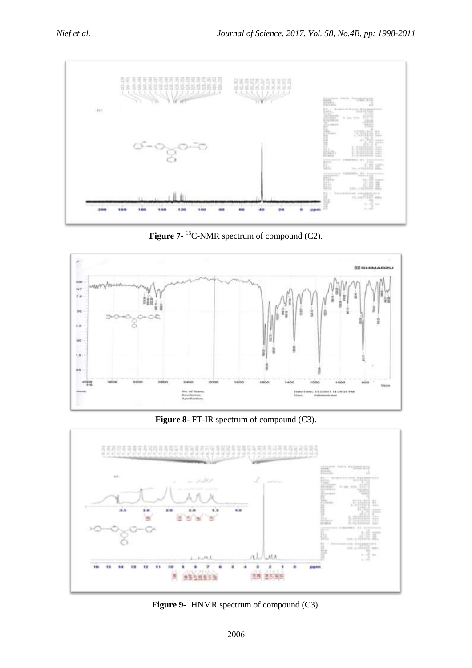

Figure 7-<sup>13</sup>C-NMR spectrum of compound (C2).



**Figure 8-** FT-IR spectrum of compound (C3).



**Figure 9-** <sup>1</sup>HNMR spectrum of compound (C3).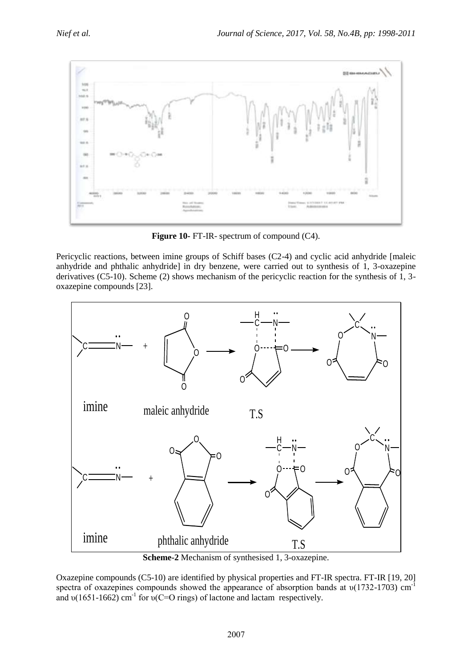

**Figure 10-** FT-IR- spectrum of compound (C4).

Pericyclic reactions, between imine groups of Schiff bases (C2-4) and cyclic acid anhydride [maleic anhydride and phthalic anhydride] in dry benzene, were carried out to synthesis of 1, 3-oxazepine derivatives (C5-10). Scheme (2) shows mechanism of the pericyclic reaction for the synthesis of 1, 3 oxazepine compounds [23].



**Scheme-2** Mechanism of synthesised 1, 3-oxazepine.

Oxazepine compounds (C5-10) are identified by physical properties and FT-IR spectra. FT-IR [19, 20] spectra of oxazepines compounds showed the appearance of absorption bands at  $v(1732-1703)$  cm<sup>-1</sup> and  $v(1651-1662)$  cm<sup>-1</sup> for  $v(C=O)$  rings) of lactone and lactam respectively.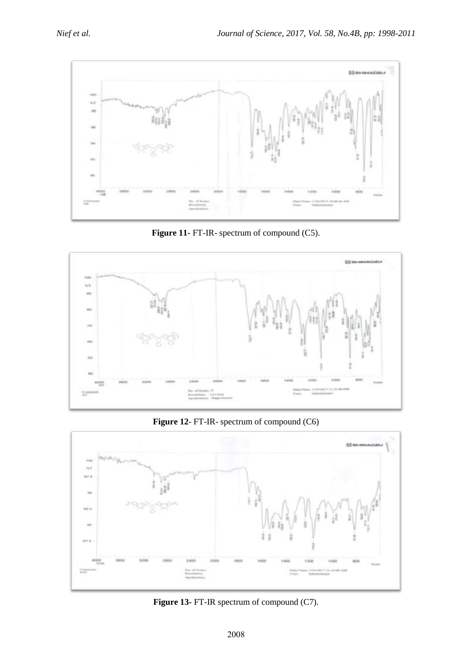

**Figure 11-** FT-IR- spectrum of compound (C5).



**Figure 12**- FT-IR- spectrum of compound (C6)



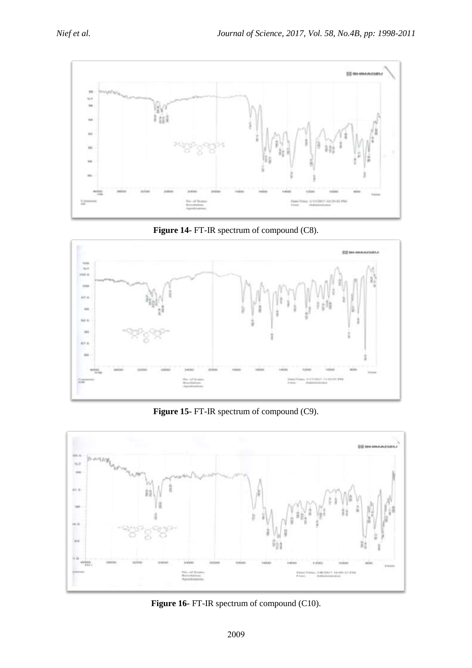





**Figure 15-** FT-IR spectrum of compound (C9).



**Figure 16-** FT-IR spectrum of compound (C10).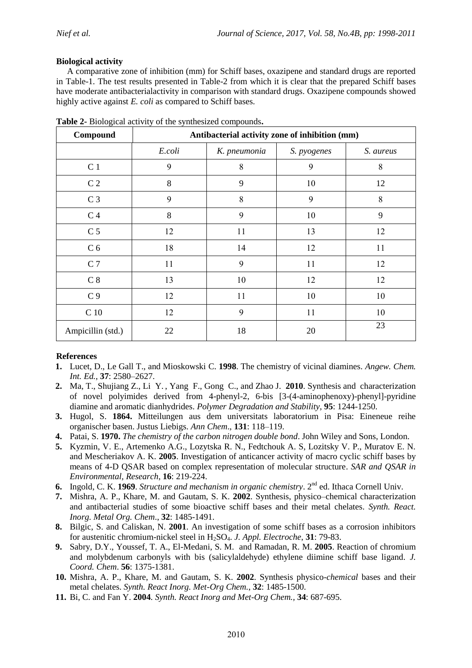# **Biological activity**

 A comparative zone of inhibition (mm) for Schiff bases, oxazipene and standard drugs are reported in Table-1. The test results presented in Table-2 from which it is clear that the prepared Schiff bases have moderate antibacterialactivity in comparison with standard drugs. Oxazipene compounds showed highly active against *E. coli* as compared to Schiff bases.

| Compound          | Antibacterial activity zone of inhibition (mm) |              |             |           |  |  |
|-------------------|------------------------------------------------|--------------|-------------|-----------|--|--|
|                   | E.coli                                         | K. pneumonia | S. pyogenes | S. aureus |  |  |
| C <sub>1</sub>    | 9                                              | 8            | 9           | 8         |  |  |
| C <sub>2</sub>    | 8                                              | 9            | 10          | 12        |  |  |
| C <sub>3</sub>    | 9                                              | 8            | 9           | 8         |  |  |
| C <sub>4</sub>    | 8                                              | 9            | 10          | 9         |  |  |
| C <sub>5</sub>    | 12                                             | 11           | 13          | 12        |  |  |
| C <sub>6</sub>    | 18                                             | 14           | 12          | 11        |  |  |
| C <sub>7</sub>    | 11                                             | 9            | 11          | 12        |  |  |
| C <sub>8</sub>    | 13                                             | 10           | 12          | 12        |  |  |
| C <sub>9</sub>    | 12                                             | 11           | 10          | 10        |  |  |
| C <sub>10</sub>   | 12                                             | 9            | 11          | 10        |  |  |
| Ampicillin (std.) | 22                                             | 18           | 20          | 23        |  |  |

**Table 2-** Biological activity of the synthesized compounds**.**

# **References**

- **1.** Lucet, D., Le Gall T., and Mioskowski C. **1998**. The chemistry of vicinal diamines. *Angew. Chem. Int. Ed.*, **37**: 2580–2627.
- **2.** Ma, [T., Shujiang Z.,](http://www.sciencedirect.com/science/article/pii/S0141391010001461) Li [Y.](http://www.sciencedirect.com/science/article/pii/S0141391010001461) , Yang [F.,](http://www.sciencedirect.com/science/article/pii/S0141391010001461) Gong [C.,](http://www.sciencedirect.com/science/article/pii/S0141391010001461) and Zhao [J.](http://www.sciencedirect.com/science/article/pii/S0141391010001461) **2010**. Synthesis and characterization of novel polyimides derived from 4-phenyl-2, 6-bis [3-(4-aminophenoxy)-phenyl]-pyridine diamine and aromatic dianhydrides. *Polymer Degradation and Stability,* **95**: 1244-1250.
- **3.** Hugol, S. **1864.** Mitteilungen aus dem universitats laboratorium in Pisa: Eineneue reihe organischer basen. Justus Liebigs. *Ann Chem*., **131**: 118–119.
- **4.** Patai, S. **1970.** *The chemistry of the carbon nitrogen double bond*. John Wiley and Sons, London.
- **5.** Kyzmin, V. E., Artemenko A.G., Lozytska R. N., Fedtchouk A. S, Lozitsky V. P., Muratov E. N. and Mescheriakov A. K. **2005**. Investigation of anticancer activity of macro cyclic schiff bases by means of 4-D QSAR based on complex representation of molecular structure. *SAR and QSAR in Environmental, Research*, **16**: 219-224.
- **6.** Ingold, C. K. 1969. *Structure and mechanism in organic chemistry*. 2<sup>nd</sup> ed. Ithaca Cornell Univ.
- **7.** Mishra, A. P., Khare, M. and Gautam, S. K. **2002**. Synthesis, physico–chemical characterization and antibacterial studies of some bioactive schiff bases and their metal chelates*. Synth. React. Inorg. Metal Org. Chem*., **32**: 1485-1491.
- **8.** Bilgic, S. and Caliskan, N. **2001**. An investigation of some schiff bases as a corrosion inhibitors for austenitic chromium-nickel steel in H2SO4. *J. Appl. Electroche*, **31**: 79-83.
- **9.** Sabry, D.Y., Youssef, T. A., El-Medani, S. M. and Ramadan, R. M. **2005**. Reaction of chromium and molybdenum carbonyls with bis (salicylaldehyde) ethylene diimine schiff base ligand. *J. Coord. Chem*. **56**: 1375-1381.
- **10.** Mishra, A. P., Khare, M. and Gautam, S. K. **2002**. Synthesis physico-*chemical* bases and their metal chelates. *Synth. React Inorg. Met-Org Chem.*, **32**: 1485-1500.
- **11.** Bi, C. and Fan Y. **2004**. *Synth. React Inorg and Met-Org Chem.,* **34**: 687-695.